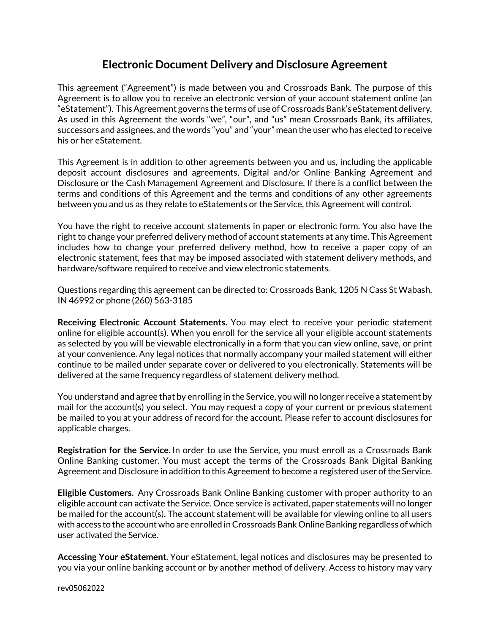## **Electronic Document Delivery and Disclosure Agreement**

This agreement ("Agreement") is made between you and Crossroads Bank. The purpose of this Agreement is to allow you to receive an electronic version of your account statement online (an "eStatement"). This Agreement governs the terms of use of Crossroads Bank's eStatement delivery. As used in this Agreement the words "we", "our", and "us" mean Crossroads Bank, its affiliates, successors and assignees, and the words "you" and "your" mean the user who has elected to receive his or her eStatement.

This Agreement is in addition to other agreements between you and us, including the applicable deposit account disclosures and agreements, Digital and/or Online Banking Agreement and Disclosure or the Cash Management Agreement and Disclosure. If there is a conflict between the terms and conditions of this Agreement and the terms and conditions of any other agreements between you and us as they relate to eStatements or the Service, this Agreement will control.

You have the right to receive account statements in paper or electronic form. You also have the right to change your preferred delivery method of account statements at any time. This Agreement includes how to change your preferred delivery method, how to receive a paper copy of an electronic statement, fees that may be imposed associated with statement delivery methods, and hardware/software required to receive and view electronic statements.

Questions regarding this agreement can be directed to: Crossroads Bank, 1205 N Cass St Wabash, IN 46992 or phone (260) 563-3185

**Receiving Electronic Account Statements.** You may elect to receive your periodic statement online for eligible account(s). When you enroll for the service all your eligible account statements as selected by you will be viewable electronically in a form that you can view online, save, or print at your convenience. Any legal notices that normally accompany your mailed statement will either continue to be mailed under separate cover or delivered to you electronically. Statements will be delivered at the same frequency regardless of statement delivery method.

You understand and agree that by enrolling in the Service, you will no longer receive a statement by mail for the account(s) you select. You may request a copy of your current or previous statement be mailed to you at your address of record for the account. Please refer to account disclosures for applicable charges.

**Registration for the Service.** In order to use the Service, you must enroll as a Crossroads Bank Online Banking customer. You must accept the terms of the Crossroads Bank Digital Banking Agreement and Disclosure in addition to this Agreement to become a registered user of the Service.

**Eligible Customers.** Any Crossroads Bank Online Banking customer with proper authority to an eligible account can activate the Service. Once service is activated, paper statements will no longer be mailed for the account(s). The account statement will be available for viewing online to all users with access to the account who are enrolled in Crossroads Bank Online Banking regardless of which user activated the Service.

**Accessing Your eStatement.** Your eStatement, legal notices and disclosures may be presented to you via your online banking account or by another method of delivery. Access to history may vary

rev05062022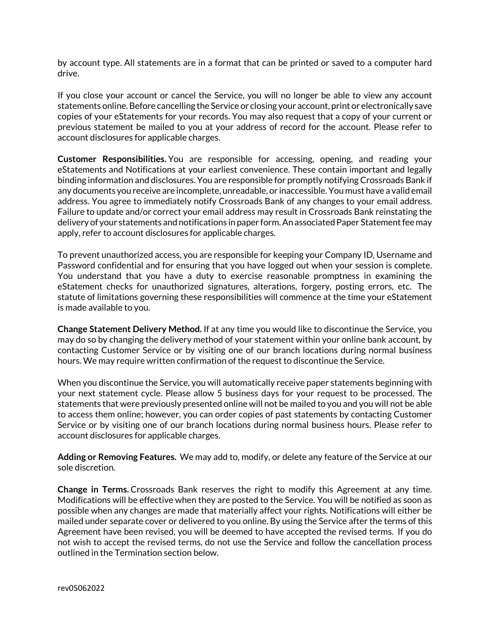by account type. All statements are in a format that can be printed or saved to a computer hard drive.

If you close your account or cancel the Service, you will no longer be able to view any account statements online. Before cancelling the Service or closing your account, print or electronically save copies of your eStatements for your records. You may also request that a copy of your current or previous statement be mailed to you at your address of record for the account. Please refer to account disclosures for applicable charges.

**Customer Responsibilities.** You are responsible for accessing, opening, and reading your eStatements and Notifications at your earliest convenience. These contain important and legally binding information and disclosures. You are responsible for promptly notifying Crossroads Bank if any documents you receive are incomplete, unreadable, or inaccessible. You must have a valid email address. You agree to immediately notify Crossroads Bank of any changes to your email address. Failure to update and/or correct your email address may result in Crossroads Bank reinstating the delivery of your statements and notifications in paper form. An associated Paper Statement fee may apply, refer to account disclosures for applicable charges.

To prevent unauthorized access, you are responsible for keeping your Company ID, Username and Password confidential and for ensuring that you have logged out when your session is complete. You understand that you have a duty to exercise reasonable promptness in examining the eStatement checks for unauthorized signatures, alterations, forgery, posting errors, etc. The statute of limitations governing these responsibilities will commence at the time your eStatement is made available to you.

**Change Statement Delivery Method.** If at any time you would like to discontinue the Service, you may do so by changing the delivery method of your statement within your online bank account, by contacting Customer Service or by visiting one of our branch locations during normal business hours. We may require written confirmation of the request to discontinue the Service.

When you discontinue the Service, you will automatically receive paper statements beginning with your next statement cycle. Please allow 5 business days for your request to be processed. The statements that were previously presented online will not be mailed to you and you will not be able to access them online; however, you can order copies of past statements by contacting Customer Service or by visiting one of our branch locations during normal business hours. Please refer to account disclosures for applicable charges.

**Adding or Removing Features.** We may add to, modify, or delete any feature of the Service at our sole discretion.

**Change in Terms.** Crossroads Bank reserves the right to modify this Agreement at any time. Modifications will be effective when they are posted to the Service. You will be notified as soon as possible when any changes are made that materially affect your rights. Notifications will either be mailed under separate cover or delivered to you online. By using the Service after the terms of this Agreement have been revised, you will be deemed to have accepted the revised terms. If you do not wish to accept the revised terms, do not use the Service and follow the cancellation process outlined in the Termination section below.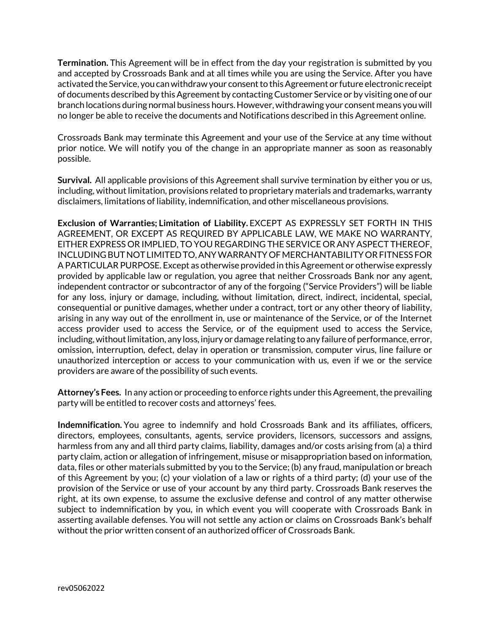**Termination.** This Agreement will be in effect from the day your registration is submitted by you and accepted by Crossroads Bank and at all times while you are using the Service. After you have activated the Service, you can withdraw your consent to this Agreement or future electronic receipt of documents described by this Agreement by contacting Customer Service or by visiting one of our branch locations during normal business hours. However, withdrawing your consent means you will no longer be able to receive the documents and Notifications described in this Agreement online.

Crossroads Bank may terminate this Agreement and your use of the Service at any time without prior notice. We will notify you of the change in an appropriate manner as soon as reasonably possible.

**Survival.** All applicable provisions of this Agreement shall survive termination by either you or us, including, without limitation, provisions related to proprietary materials and trademarks, warranty disclaimers, limitations of liability, indemnification, and other miscellaneous provisions.

**Exclusion of Warranties; Limitation of Liability.** EXCEPT AS EXPRESSLY SET FORTH IN THIS AGREEMENT, OR EXCEPT AS REQUIRED BY APPLICABLE LAW, WE MAKE NO WARRANTY, EITHER EXPRESS OR IMPLIED, TO YOU REGARDING THE SERVICE OR ANY ASPECT THEREOF, INCLUDING BUT NOT LIMITED TO, ANY WARRANTY OF MERCHANTABILITY OR FITNESS FOR A PARTICULAR PURPOSE. Except as otherwise provided in this Agreement or otherwise expressly provided by applicable law or regulation, you agree that neither Crossroads Bank nor any agent, independent contractor or subcontractor of any of the forgoing ("Service Providers") will be liable for any loss, injury or damage, including, without limitation, direct, indirect, incidental, special, consequential or punitive damages, whether under a contract, tort or any other theory of liability, arising in any way out of the enrollment in, use or maintenance of the Service, or of the Internet access provider used to access the Service, or of the equipment used to access the Service, including, without limitation, any loss, injury or damage relating to any failure of performance, error, omission, interruption, defect, delay in operation or transmission, computer virus, line failure or unauthorized interception or access to your communication with us, even if we or the service providers are aware of the possibility of such events.

**Attorney's Fees.** In any action or proceeding to enforce rights under this Agreement, the prevailing party will be entitled to recover costs and attorneys' fees.

**Indemnification.** You agree to indemnify and hold Crossroads Bank and its affiliates, officers, directors, employees, consultants, agents, service providers, licensors, successors and assigns, harmless from any and all third party claims, liability, damages and/or costs arising from (a) a third party claim, action or allegation of infringement, misuse or misappropriation based on information, data, files or other materials submitted by you to the Service; (b) any fraud, manipulation or breach of this Agreement by you; (c) your violation of a law or rights of a third party; (d) your use of the provision of the Service or use of your account by any third party. Crossroads Bank reserves the right, at its own expense, to assume the exclusive defense and control of any matter otherwise subject to indemnification by you, in which event you will cooperate with Crossroads Bank in asserting available defenses. You will not settle any action or claims on Crossroads Bank's behalf without the prior written consent of an authorized officer of Crossroads Bank.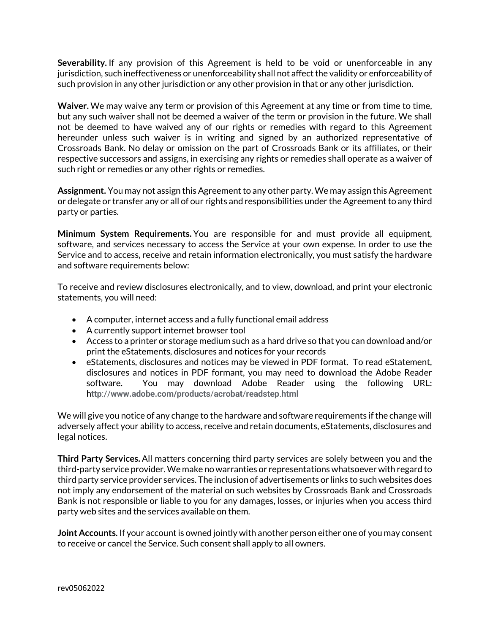**Severability.** If any provision of this Agreement is held to be void or unenforceable in any jurisdiction, such ineffectiveness or unenforceability shall not affect the validity or enforceability of such provision in any other jurisdiction or any other provision in that or any other jurisdiction.

**Waiver.** We may waive any term or provision of this Agreement at any time or from time to time, but any such waiver shall not be deemed a waiver of the term or provision in the future. We shall not be deemed to have waived any of our rights or remedies with regard to this Agreement hereunder unless such waiver is in writing and signed by an authorized representative of Crossroads Bank. No delay or omission on the part of Crossroads Bank or its affiliates, or their respective successors and assigns, in exercising any rights or remedies shall operate as a waiver of such right or remedies or any other rights or remedies.

**Assignment.** You may not assign this Agreement to any other party. We may assign this Agreement or delegate or transfer any or all of our rights and responsibilities under the Agreement to any third party or parties.

**Minimum System Requirements.** You are responsible for and must provide all equipment, software, and services necessary to access the Service at your own expense. In order to use the Service and to access, receive and retain information electronically, you must satisfy the hardware and software requirements below:

To receive and review disclosures electronically, and to view, download, and print your electronic statements, you will need:

- A computer, internet access and a fully functional email address
- A currently support internet browser tool
- Access to a printer or storage medium such as a hard drive so that you can download and/or print the eStatements, disclosures and notices for your records
- eStatements, disclosures and notices may be viewed in PDF format. To read eStatement, disclosures and notices in PDF formant, you may need to download the Adobe Reader software. You may download Adobe Reader using the following URL: h**ttp**://**www.adobe.com/products**/**acrobat**/**readstep**.**html**

We will give you notice of any change to the hardware and software requirements if the change will adversely affect your ability to access, receive and retain documents, eStatements, disclosures and legal notices.

**Third Party Services.** All matters concerning third party services are solely between you and the third-party service provider. We make no warranties or representations whatsoever with regard to third party service provider services. The inclusion of advertisements or links to such websites does not imply any endorsement of the material on such websites by Crossroads Bank and Crossroads Bank is not responsible or liable to you for any damages, losses, or injuries when you access third party web sites and the services available on them.

**Joint Accounts.** If your account is owned jointly with another person either one of you may consent to receive or cancel the Service. Such consent shall apply to all owners.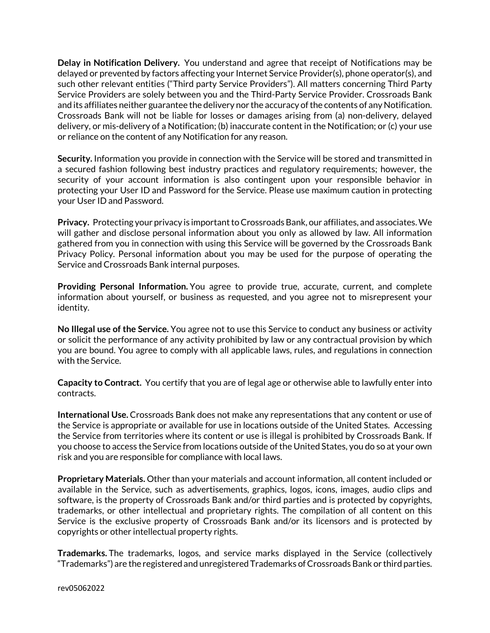**Delay in Notification Delivery.** You understand and agree that receipt of Notifications may be delayed or prevented by factors affecting your Internet Service Provider(s), phone operator(s), and such other relevant entities ("Third party Service Providers"). All matters concerning Third Party Service Providers are solely between you and the Third-Party Service Provider. Crossroads Bank and its affiliates neither guarantee the delivery nor the accuracy of the contents of any Notification. Crossroads Bank will not be liable for losses or damages arising from (a) non-delivery, delayed delivery, or mis-delivery of a Notification; (b) inaccurate content in the Notification; or (c) your use or reliance on the content of any Notification for any reason.

**Security.** Information you provide in connection with the Service will be stored and transmitted in a secured fashion following best industry practices and regulatory requirements; however, the security of your account information is also contingent upon your responsible behavior in protecting your User ID and Password for the Service. Please use maximum caution in protecting your User ID and Password.

**Privacy.** Protecting your privacy is important to Crossroads Bank, our affiliates, and associates. We will gather and disclose personal information about you only as allowed by law. All information gathered from you in connection with using this Service will be governed by the Crossroads Bank Privacy Policy. Personal information about you may be used for the purpose of operating the Service and Crossroads Bank internal purposes.

**Providing Personal Information.** You agree to provide true, accurate, current, and complete information about yourself, or business as requested, and you agree not to misrepresent your identity.

**No Illegal use of the Service.** You agree not to use this Service to conduct any business or activity or solicit the performance of any activity prohibited by law or any contractual provision by which you are bound. You agree to comply with all applicable laws, rules, and regulations in connection with the Service.

**Capacity to Contract.** You certify that you are of legal age or otherwise able to lawfully enter into contracts.

**International Use.** Crossroads Bank does not make any representations that any content or use of the Service is appropriate or available for use in locations outside of the United States. Accessing the Service from territories where its content or use is illegal is prohibited by Crossroads Bank. If you choose to access the Service from locations outside of the United States, you do so at your own risk and you are responsible for compliance with local laws.

**Proprietary Materials.** Other than your materials and account information, all content included or available in the Service, such as advertisements, graphics, logos, icons, images, audio clips and software, is the property of Crossroads Bank and/or third parties and is protected by copyrights, trademarks, or other intellectual and proprietary rights. The compilation of all content on this Service is the exclusive property of Crossroads Bank and/or its licensors and is protected by copyrights or other intellectual property rights.

**Trademarks.** The trademarks, logos, and service marks displayed in the Service (collectively "Trademarks") are the registered and unregistered Trademarks of Crossroads Bank or third parties.